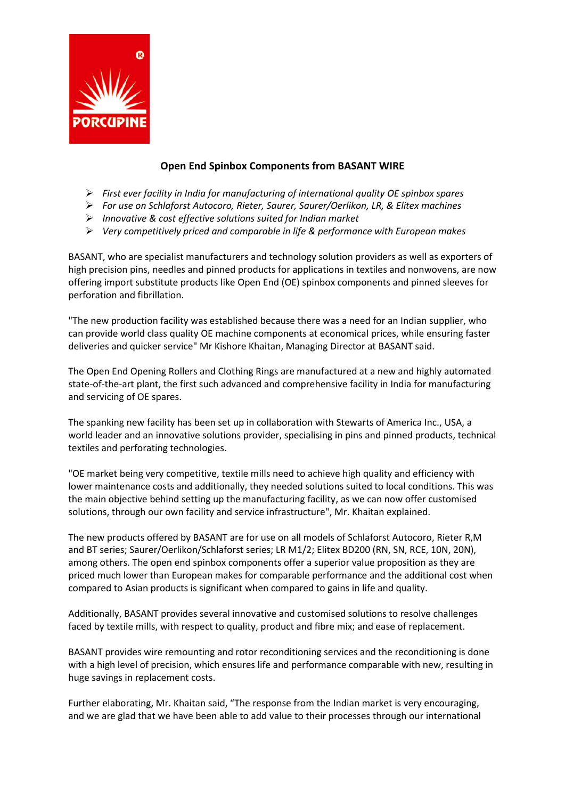

## **Open End Spinbox Components from BASANT WIRE**

- ➢ *First ever facility in India for manufacturing of international quality OE spinbox spares*
- ➢ *For use on Schlaforst Autocoro, Rieter, Saurer, Saurer/Oerlikon, LR, & Elitex machines*
- ➢ *Innovative & cost effective solutions suited for Indian market*
- ➢ *Very competitively priced and comparable in life & performance with European makes*

BASANT, who are specialist manufacturers and technology solution providers as well as exporters of high precision pins, needles and pinned products for applications in textiles and nonwovens, are now offering import substitute products like Open End (OE) spinbox components and pinned sleeves for perforation and fibrillation.

"The new production facility was established because there was a need for an Indian supplier, who can provide world class quality OE machine components at economical prices, while ensuring faster deliveries and quicker service" Mr Kishore Khaitan, Managing Director at BASANT said.

The Open End Opening Rollers and Clothing Rings are manufactured at a new and highly automated state-of-the-art plant, the first such advanced and comprehensive facility in India for manufacturing and servicing of OE spares.

The spanking new facility has been set up in collaboration with Stewarts of America Inc., USA, a world leader and an innovative solutions provider, specialising in pins and pinned products, technical textiles and perforating technologies.

"OE market being very competitive, textile mills need to achieve high quality and efficiency with lower maintenance costs and additionally, they needed solutions suited to local conditions. This was the main objective behind setting up the manufacturing facility, as we can now offer customised solutions, through our own facility and service infrastructure", Mr. Khaitan explained.

The new products offered by BASANT are for use on all models of Schlaforst Autocoro, Rieter R,M and BT series; Saurer/Oerlikon/Schlaforst series; LR M1/2; Elitex BD200 (RN, SN, RCE, 10N, 20N), among others. The open end spinbox components offer a superior value proposition as they are priced much lower than European makes for comparable performance and the additional cost when compared to Asian products is significant when compared to gains in life and quality.

Additionally, BASANT provides several innovative and customised solutions to resolve challenges faced by textile mills, with respect to quality, product and fibre mix; and ease of replacement.

BASANT provides wire remounting and rotor reconditioning services and the reconditioning is done with a high level of precision, which ensures life and performance comparable with new, resulting in huge savings in replacement costs.

Further elaborating, Mr. Khaitan said, "The response from the Indian market is very encouraging, and we are glad that we have been able to add value to their processes through our international